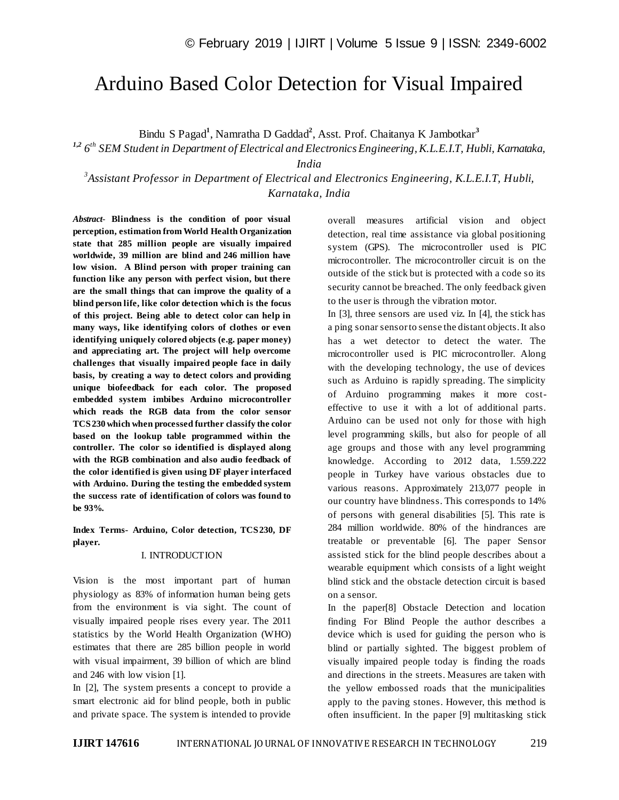# Arduino Based Color Detection for Visual Impaired

Bindu S Pagad**<sup>1</sup>** , Namratha D Gaddad**<sup>2</sup>** , Asst. Prof. Chaitanya K Jambotkar**<sup>3</sup>**

*1,2 6 th SEM Student in Department of Electrical and Electronics Engineering, K.L.E.I.T, Hubli, Karnataka,* 

*India*

*3 Assistant Professor in Department of Electrical and Electronics Engineering, K.L.E.I.T, Hubli, Karnataka, India*

*Abstract*- **Blindness is the condition of poor visual perception, estimation from World Health Organization state that 285 million people are visually impaired worldwide, 39 million are blind and 246 million have low vision. A Blind person with proper training can function like any person with perfect vision, but there are the small things that can improve the quality of a blind person life, like color detection which is the focus of this project. Being able to detect color can help in many ways, like identifying colors of clothes or even identifying uniquely colored objects (e.g. paper money) and appreciating art. The project will help overcome challenges that visually impaired people face in daily basis, by creating a way to detect colors and providing unique biofeedback for each color. The proposed embedded system imbibes Arduino microcontroller which reads the RGB data from the color sensor TCS230 which when processed further classify the color based on the lookup table programmed within the controller. The color so identified is displayed along with the RGB combination and also audio feedback of the color identified is given using DF player interfaced with Arduino. During the testing the embedded system the success rate of identification of colors was found to be 93%.**

**Index Terms- Arduino, Color detection, TCS230, DF player.**

#### I. INTRODUCTION

Vision is the most important part of human physiology as 83% of information human being gets from the environment is via sight. The count of visually impaired people rises every year. The 2011 statistics by the World Health Organization (WHO) estimates that there are 285 billion people in world with visual impairment, 39 billion of which are blind and 246 with low vision [1].

In [2], The system presents a concept to provide a smart electronic aid for blind people, both in public and private space. The system is intended to provide

overall measures artificial vision and object detection, real time assistance via global positioning system (GPS). The microcontroller used is PIC microcontroller. The microcontroller circuit is on the outside of the stick but is protected with a code so its security cannot be breached. The only feedback given to the user is through the vibration motor.

In [3], three sensors are used viz. In [4], the stick has a ping sonar sensor to sense the distant objects. It also has a wet detector to detect the water. The microcontroller used is PIC microcontroller. Along with the developing technology, the use of devices such as Arduino is rapidly spreading. The simplicity of Arduino programming makes it more costeffective to use it with a lot of additional parts. Arduino can be used not only for those with high level programming skills, but also for people of all age groups and those with any level programming knowledge. According to 2012 data, 1.559.222 people in Turkey have various obstacles due to various reasons. Approximately 213,077 people in our country have blindness. This corresponds to 14% of persons with general disabilities [5]. This rate is 284 million worldwide. 80% of the hindrances are treatable or preventable [6]. The paper Sensor assisted stick for the blind people describes about a wearable equipment which consists of a light weight blind stick and the obstacle detection circuit is based on a sensor.

In the paper[8] Obstacle Detection and location finding For Blind People the author describes a device which is used for guiding the person who is blind or partially sighted. The biggest problem of visually impaired people today is finding the roads and directions in the streets. Measures are taken with the yellow embossed roads that the municipalities apply to the paving stones. However, this method is often insufficient. In the paper [9] multitasking stick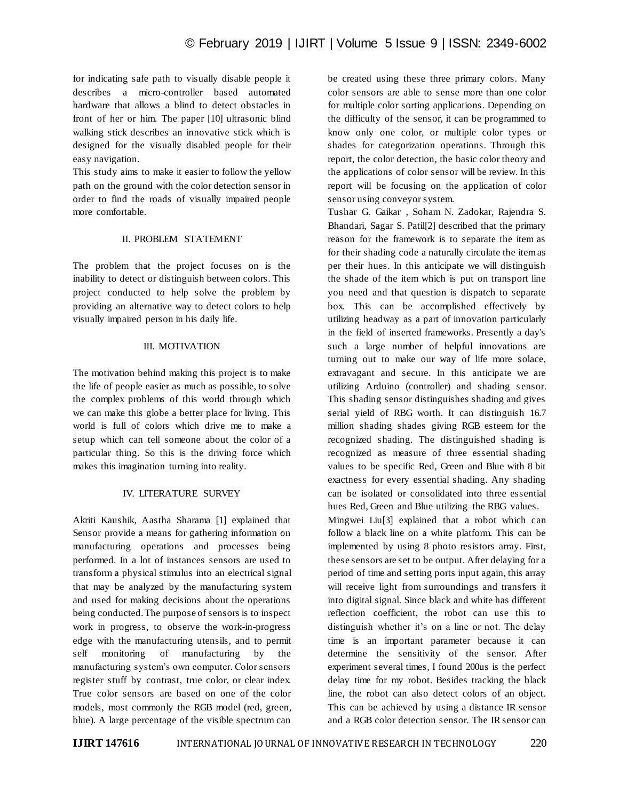for indicating safe path to visually disable people it describes a micro-controller based automated hardware that allows a blind to detect obstacles in front of her or him. The paper [10] ultrasonic blind walking stick describes an innovative stick which is designed for the visually disabled people for their easy navigation.

This study aims to make it easier to follow the yellow path on the ground with the color detection sensor in order to find the roads of visually impaired people more comfortable.

# II. PROBLEM STATEMENT

The problem that the project focuses on is the inability to detect or distinguish between colors. This project conducted to help solve the problem by providing an alternative way to detect colors to help visually impaired person in his daily life.

#### III. MOTIVATION

The motivation behind making this project is to make the life of people easier as much as possible, to solve the complex problems of this world through which we can make this globe a better place for living. This world is full of colors which drive me to make a setup which can tell someone about the color of a particular thing. So this is the driving force which makes this imagination turning into reality.

# IV. LITERATURE SURVEY

Akriti Kaushik, Aastha Sharama [1] explained that Sensor provide a means for gathering information on manufacturing operations and processes being performed. In a lot of instances sensors are used to transform a physical stimulus into an electrical signal that may be analyzed by the manufacturing system and used for making decisions about the operations being conducted. The purpose of sensors is to inspect work in progress, to observe the work-in-progress edge with the manufacturing utensils, and to permit self monitoring of manufacturing by the manufacturing system's own computer. Color sensors register stuff by contrast, true color, or clear index. True color sensors are based on one of the color models, most commonly the RGB model (red, green, blue). A large percentage of the visible spectrum can

be created using these three primary colors. Many color sensors are able to sense more than one color for multiple color sorting applications. Depending on the difficulty of the sensor, it can be programmed to know only one color, or multiple color types or shades for categorization operations. Through this report, the color detection, the basic color theory and the applications of color sensor will be review. In this report will be focusing on the application of color sensor using conveyor system.

Tushar G. Gaikar , Soham N. Zadokar, Rajendra S. Bhandari, Sagar S. Patil[2] described that the primary reason for the framework is to separate the item as for their shading code a naturally circulate the item as per their hues. In this anticipate we will distinguish the shade of the item which is put on transport line you need and that question is dispatch to separate box. This can be accomplished effectively by utilizing headway as a part of innovation particularly in the field of inserted frameworks. Presently a day's such a large number of helpful innovations are turning out to make our way of life more solace, extravagant and secure. In this anticipate we are utilizing Arduino (controller) and shading sensor. This shading sensor distinguishes shading and gives serial yield of RBG worth. It can distinguish 16.7 million shading shades giving RGB esteem for the recognized shading. The distinguished shading is recognized as measure of three essential shading values to be specific Red, Green and Blue with 8 bit exactness for every essential shading. Any shading can be isolated or consolidated into three essential hues Red, Green and Blue utilizing the RBG values.

Mingwei Liu[3] explained that a robot which can follow a black line on a white platform. This can be implemented by using 8 photo resistors array. First, these sensors are set to be output. After delaying for a period of time and setting ports input again, this array will receive light from surroundings and transfers it into digital signal. Since black and white has different reflection coefficient, the robot can use this to distinguish whether it's on a line or not. The delay time is an important parameter because it can determine the sensitivity of the sensor. After experiment several times, I found 200us is the perfect delay time for my robot. Besides tracking the black line, the robot can also detect colors of an object. This can be achieved by using a distance IR sensor and a RGB color detection sensor. The IR sensor can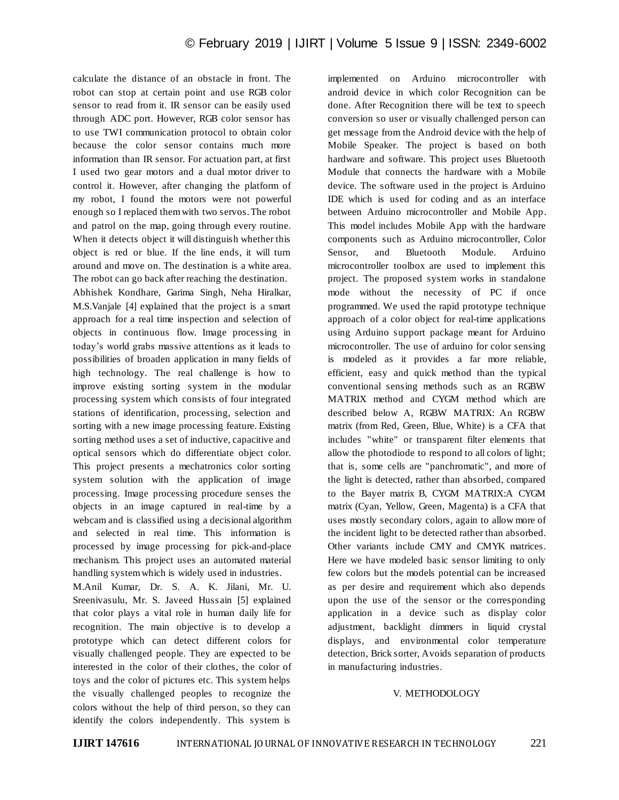calculate the distance of an obstacle in front. The robot can stop at certain point and use RGB color sensor to read from it. IR sensor can be easily used through ADC port. However, RGB color sensor has to use TWI communication protocol to obtain color because the color sensor contains much more information than IR sensor. For actuation part, at first I used two gear motors and a dual motor driver to control it. However, after changing the platform of my robot, I found the motors were not powerful enough so I replaced them with two servos. The robot and patrol on the map, going through every routine. When it detects object it will distinguish whether this object is red or blue. If the line ends, it will turn around and move on. The destination is a white area. The robot can go back after reaching the destination. Abhishek Kondhare, Garima Singh, Neha Hiralkar, M.S.Vanjale [4] explained that the project is a smart approach for a real time inspection and selection of objects in continuous flow. Image processing in today's world grabs massive attentions as it leads to possibilities of broaden application in many fields of high technology. The real challenge is how to improve existing sorting system in the modular processing system which consists of four integrated stations of identification, processing, selection and sorting with a new image processing feature. Existing sorting method uses a set of inductive, capacitive and optical sensors which do differentiate object color. This project presents a mechatronics color sorting system solution with the application of image processing. Image processing procedure senses the objects in an image captured in real-time by a webcam and is classified using a decisional algorithm and selected in real time. This information is processed by image processing for pick-and-place mechanism. This project uses an automated material handling system which is widely used in industries.

M.Anil Kumar, Dr. S. A. K. Jilani, Mr. U. Sreenivasulu, Mr. S. Javeed Hussain [5] explained that color plays a vital role in human daily life for recognition. The main objective is to develop a prototype which can detect different colors for visually challenged people. They are expected to be interested in the color of their clothes, the color of toys and the color of pictures etc. This system helps the visually challenged peoples to recognize the colors without the help of third person, so they can identify the colors independently. This system is

implemented on Arduino microcontroller with android device in which color Recognition can be done. After Recognition there will be text to speech conversion so user or visually challenged person can get message from the Android device with the help of Mobile Speaker. The project is based on both hardware and software. This project uses Bluetooth Module that connects the hardware with a Mobile device. The software used in the project is Arduino IDE which is used for coding and as an interface between Arduino microcontroller and Mobile App. This model includes Mobile App with the hardware components such as Arduino microcontroller, Color Sensor, and Bluetooth Module. Arduino microcontroller toolbox are used to implement this project. The proposed system works in standalone mode without the necessity of PC if once programmed. We used the rapid prototype technique approach of a color object for real-time applications using Arduino support package meant for Arduino microcontroller. The use of arduino for color sensing is modeled as it provides a far more reliable, efficient, easy and quick method than the typical conventional sensing methods such as an RGBW MATRIX method and CYGM method which are described below A, RGBW MATRIX: An RGBW matrix (from Red, Green, Blue, White) is a CFA that includes "white" or transparent filter elements that allow the photodiode to respond to all colors of light; that is, some cells are "panchromatic", and more of the light is detected, rather than absorbed, compared to the Bayer matrix B, CYGM MATRIX:A CYGM matrix (Cyan, Yellow, Green, Magenta) is a CFA that uses mostly secondary colors, again to allow more of the incident light to be detected rather than absorbed. Other variants include CMY and CMYK matrices. Here we have modeled basic sensor limiting to only few colors but the models potential can be increased as per desire and requirement which also depends upon the use of the sensor or the corresponding application in a device such as display color adjustment, backlight dimmers in liquid crystal displays, and environmental color temperature detection, Brick sorter, Avoids separation of products in manufacturing industries.

#### V. METHODOLOGY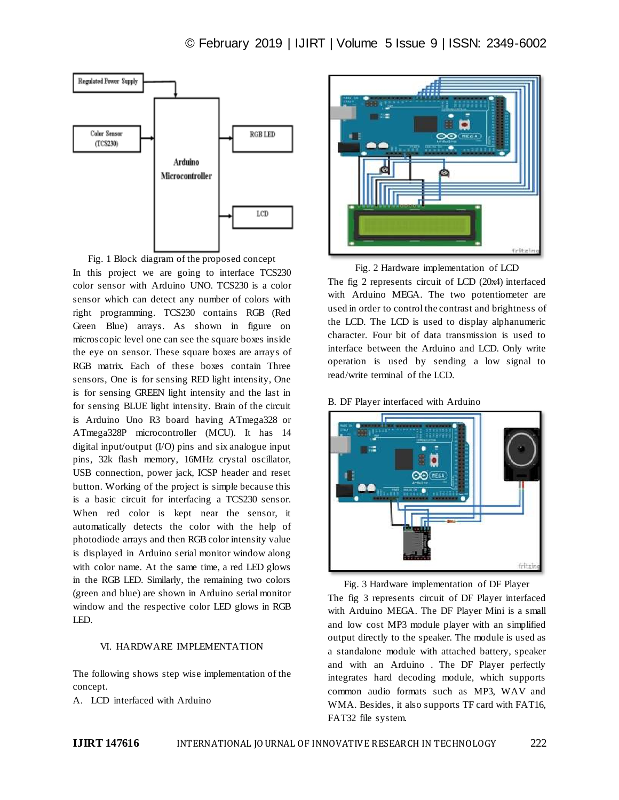

Fig. 1 Block diagram of the proposed concept In this project we are going to interface TCS230 color sensor with Arduino UNO. TCS230 is a color sensor which can detect any number of colors with right programming. TCS230 contains RGB (Red Green Blue) arrays. As shown in figure on microscopic level one can see the square boxes inside the eye on sensor. These square boxes are arrays of RGB matrix. Each of these boxes contain Three sensors, One is for sensing RED light intensity, One is for sensing GREEN light intensity and the last in for sensing BLUE light intensity. Brain of the circuit is Arduino Uno R3 board having ATmega328 or ATmega328P microcontroller (MCU). It has 14 digital input/output (I/O) pins and six analogue input pins, 32k flash memory, 16MHz crystal oscillator, USB connection, power jack, ICSP header and reset button. Working of the project is simple because this is a basic circuit for interfacing a TCS230 sensor. When red color is kept near the sensor, it automatically detects the color with the help of photodiode arrays and then RGB color intensity value is displayed in Arduino serial monitor window along with color name. At the same time, a red LED glows in the RGB LED. Similarly, the remaining two colors (green and blue) are shown in Arduino serial monitor window and the respective color LED glows in RGB LED.

## VI. HARDWARE IMPLEMENTATION

The following shows step wise implementation of the concept.

A. LCD interfaced with Arduino



Fig. 2 Hardware implementation of LCD The fig 2 represents circuit of LCD (20x4) interfaced with Arduino MEGA. The two potentiometer are used in order to control the contrast and brightness of the LCD. The LCD is used to display alphanumeric character. Four bit of data transmission is used to interface between the Arduino and LCD. Only write operation is used by sending a low signal to read/write terminal of the LCD.

B. DF Player interfaced with Arduino



Fig. 3 Hardware implementation of DF Player The fig 3 represents circuit of DF Player interfaced with Arduino MEGA. The DF Player Mini is a small and low cost MP3 module player with an simplified output directly to the speaker. The module is used as a standalone module with attached battery, speaker and with an Arduino . The DF Player perfectly integrates hard decoding module, which supports common audio formats such as MP3, WAV and WMA. Besides, it also supports TF card with FAT16, FAT32 file system.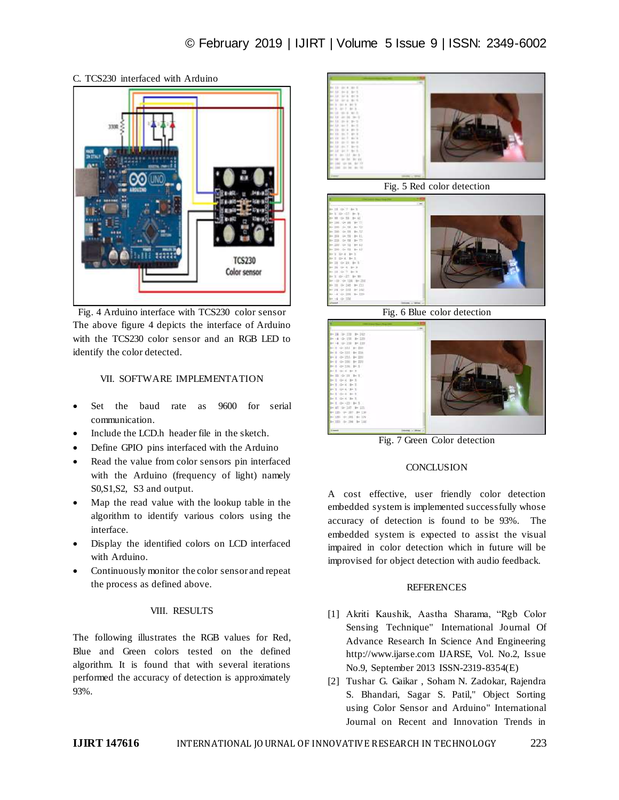

# C. TCS230 interfaced with Arduino

Fig. 4 Arduino interface with TCS230 color sensor The above figure 4 depicts the interface of Arduino with the TCS230 color sensor and an RGB LED to identify the color detected.

# VII. SOFTWARE IMPLEMENTATION

- Set the baud rate as 9600 for serial communication.
- Include the LCD.h header file in the sketch.
- Define GPIO pins interfaced with the Arduino
- Read the value from color sensors pin interfaced with the Arduino (frequency of light) namely S0,S1,S2, S3 and output.
- Map the read value with the lookup table in the algorithm to identify various colors using the interface.
- Display the identified colors on LCD interfaced with Arduino.
- Continuously monitor the color sensor and repeat the process as defined above.

#### VIII. RESULTS

The following illustrates the RGB values for Red, Blue and Green colors tested on the defined algorithm. It is found that with several iterations performed the accuracy of detection is approximately 93%.





Fig. 6 Blue color detection



Fig. 7 Green Color detection

#### **CONCLUSION**

A cost effective, user friendly color detection embedded system is implemented successfully whose accuracy of detection is found to be 93%. The embedded system is expected to assist the visual impaired in color detection which in future will be improvised for object detection with audio feedback.

## **REFERENCES**

- [1] Akriti Kaushik, Aastha Sharama, "Rgb Color Sensing Technique" International Journal Of Advance Research In Science And Engineering http://www.ijarse.com IJARSE, Vol. No.2, Issue No.9, September 2013 ISSN-2319-8354(E)
- [2] Tushar G. Gaikar , Soham N. Zadokar, Rajendra S. Bhandari, Sagar S. Patil," Object Sorting using Color Sensor and Arduino" International Journal on Recent and Innovation Trends in